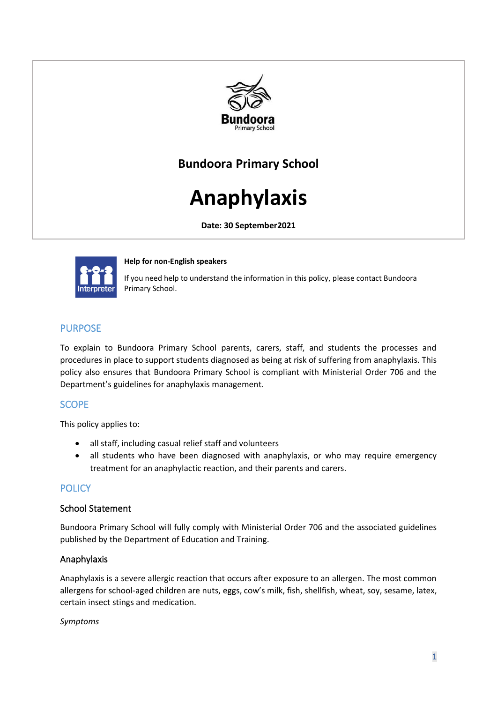

# **Bundoora Primary School**

# **Anaphylaxis**

**Date: 30 September2021**



**Help for non-English speakers** 

If you need help to understand the information in this policy, please contact Bundoora Primary School.

# PURPOSE

To explain to Bundoora Primary School parents, carers, staff, and students the processes and procedures in place to support students diagnosed as being at risk of suffering from anaphylaxis. This policy also ensures that Bundoora Primary School is compliant with Ministerial Order 706 and the Department's guidelines for anaphylaxis management.

# **SCOPE**

This policy applies to:

- all staff, including casual relief staff and volunteers
- all students who have been diagnosed with anaphylaxis, or who may require emergency treatment for an anaphylactic reaction, and their parents and carers.

# **POLICY**

#### School Statement

Bundoora Primary School will fully comply with Ministerial Order 706 and the associated guidelines published by the Department of Education and Training.

#### Anaphylaxis

Anaphylaxis is a severe allergic reaction that occurs after exposure to an allergen. The most common allergens for school-aged children are nuts, eggs, cow's milk, fish, shellfish, wheat, soy, sesame, latex, certain insect stings and medication.

#### *Symptoms*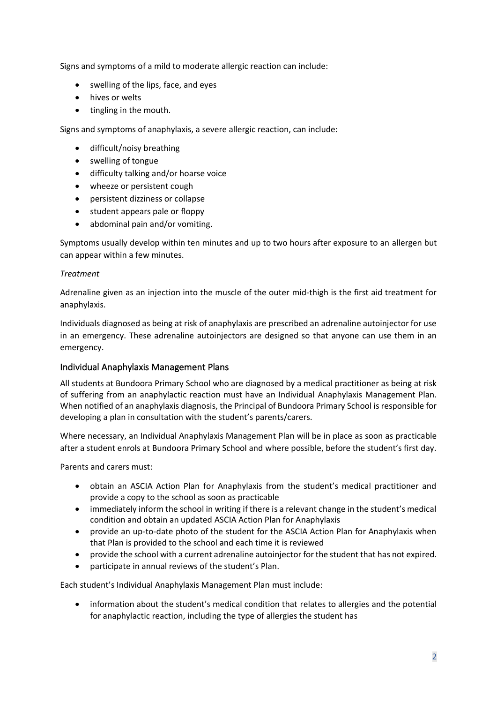Signs and symptoms of a mild to moderate allergic reaction can include:

- swelling of the lips, face, and eyes
- hives or welts
- tingling in the mouth.

Signs and symptoms of anaphylaxis, a severe allergic reaction, can include:

- difficult/noisy breathing
- swelling of tongue
- difficulty talking and/or hoarse voice
- wheeze or persistent cough
- persistent dizziness or collapse
- student appears pale or floppy
- abdominal pain and/or vomiting.

Symptoms usually develop within ten minutes and up to two hours after exposure to an allergen but can appear within a few minutes.

#### *Treatment*

Adrenaline given as an injection into the muscle of the outer mid-thigh is the first aid treatment for anaphylaxis.

Individuals diagnosed as being at risk of anaphylaxis are prescribed an adrenaline autoinjector for use in an emergency. These adrenaline autoinjectors are designed so that anyone can use them in an emergency.

#### Individual Anaphylaxis Management Plans

All students at Bundoora Primary School who are diagnosed by a medical practitioner as being at risk of suffering from an anaphylactic reaction must have an Individual Anaphylaxis Management Plan. When notified of an anaphylaxis diagnosis, the Principal of Bundoora Primary School is responsible for developing a plan in consultation with the student's parents/carers.

Where necessary, an Individual Anaphylaxis Management Plan will be in place as soon as practicable after a student enrols at Bundoora Primary School and where possible, before the student's first day.

Parents and carers must:

- obtain an ASCIA Action Plan for Anaphylaxis from the student's medical practitioner and provide a copy to the school as soon as practicable
- immediately inform the school in writing if there is a relevant change in the student's medical condition and obtain an updated ASCIA Action Plan for Anaphylaxis
- provide an up-to-date photo of the student for the ASCIA Action Plan for Anaphylaxis when that Plan is provided to the school and each time it is reviewed
- provide the school with a current adrenaline autoinjector for the student that has not expired.
- participate in annual reviews of the student's Plan.

Each student's Individual Anaphylaxis Management Plan must include:

• information about the student's medical condition that relates to allergies and the potential for anaphylactic reaction, including the type of allergies the student has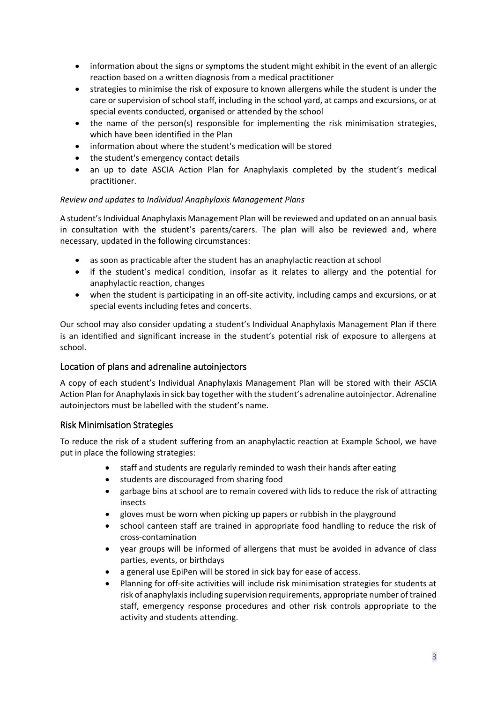- information about the signs or symptoms the student might exhibit in the event of an allergic reaction based on a written diagnosis from a medical practitioner
- strategies to minimise the risk of exposure to known allergens while the student is under the care or supervision of school staff, including in the school yard, at camps and excursions, or at special events conducted, organised or attended by the school
- the name of the person(s) responsible for implementing the risk minimisation strategies, which have been identified in the Plan
- information about where the student's medication will be stored
- the student's emergency contact details
- an up to date ASCIA Action Plan for Anaphylaxis completed by the student's medical practitioner.

#### *Review and updates to Individual Anaphylaxis Management Plans*

A student's Individual Anaphylaxis Management Plan will be reviewed and updated on an annual basis in consultation with the student's parents/carers. The plan will also be reviewed and, where necessary, updated in the following circumstances:

- as soon as practicable after the student has an anaphylactic reaction at school
- if the student's medical condition, insofar as it relates to allergy and the potential for anaphylactic reaction, changes
- when the student is participating in an off-site activity, including camps and excursions, or at special events including fetes and concerts.

Our school may also consider updating a student's Individual Anaphylaxis Management Plan if there is an identified and significant increase in the student's potential risk of exposure to allergens at school.

# Location of plans and adrenaline autoinjectors

A copy of each student's Individual Anaphylaxis Management Plan will be stored with their ASCIA Action Plan for Anaphylaxis in sick bay together with the student's adrenaline autoinjector. Adrenaline autoinjectors must be labelled with the student's name.

# Risk Minimisation Strategies

To reduce the risk of a student suffering from an anaphylactic reaction at Example School, we have put in place the following strategies:

- staff and students are regularly reminded to wash their hands after eating
- students are discouraged from sharing food
- garbage bins at school are to remain covered with lids to reduce the risk of attracting insects
- gloves must be worn when picking up papers or rubbish in the playground
- school canteen staff are trained in appropriate food handling to reduce the risk of cross-contamination
- year groups will be informed of allergens that must be avoided in advance of class parties, events, or birthdays
- a general use EpiPen will be stored in sick bay for ease of access.
- Planning for off-site activities will include risk minimisation strategies for students at risk of anaphylaxis including supervision requirements, appropriate number of trained staff, emergency response procedures and other risk controls appropriate to the activity and students attending.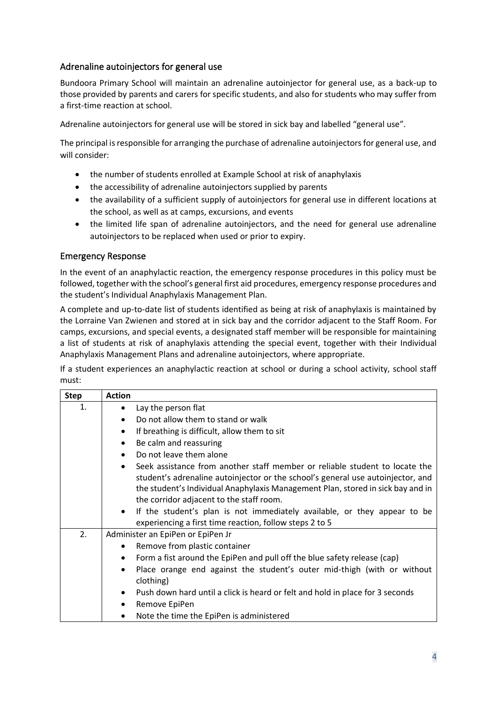# Adrenaline autoinjectors for general use

Bundoora Primary School will maintain an adrenaline autoinjector for general use, as a back-up to those provided by parents and carers for specific students, and also for students who may suffer from a first-time reaction at school.

Adrenaline autoinjectors for general use will be stored in sick bay and labelled "general use".

The principal is responsible for arranging the purchase of adrenaline autoinjectors for general use, and will consider:

- the number of students enrolled at Example School at risk of anaphylaxis
- the accessibility of adrenaline autoinjectors supplied by parents
- the availability of a sufficient supply of autoinjectors for general use in different locations at the school, as well as at camps, excursions, and events
- the limited life span of adrenaline autoinjectors, and the need for general use adrenaline autoinjectors to be replaced when used or prior to expiry.

#### Emergency Response

In the event of an anaphylactic reaction, the emergency response procedures in this policy must be followed, together with the school's general first aid procedures, emergency response procedures and the student's Individual Anaphylaxis Management Plan.

A complete and up-to-date list of students identified as being at risk of anaphylaxis is maintained by the Lorraine Van Zwienen and stored at in sick bay and the corridor adjacent to the Staff Room. For camps, excursions, and special events, a designated staff member will be responsible for maintaining a list of students at risk of anaphylaxis attending the special event, together with their Individual Anaphylaxis Management Plans and adrenaline autoinjectors, where appropriate.

If a student experiences an anaphylactic reaction at school or during a school activity, school staff must:

| <b>Step</b> | <b>Action</b>                                                                                                                                                                                                                                                                                              |  |  |
|-------------|------------------------------------------------------------------------------------------------------------------------------------------------------------------------------------------------------------------------------------------------------------------------------------------------------------|--|--|
| 1.          | Lay the person flat<br>٠                                                                                                                                                                                                                                                                                   |  |  |
|             | Do not allow them to stand or walk<br>$\bullet$                                                                                                                                                                                                                                                            |  |  |
|             | If breathing is difficult, allow them to sit<br>$\bullet$                                                                                                                                                                                                                                                  |  |  |
|             | Be calm and reassuring<br>٠                                                                                                                                                                                                                                                                                |  |  |
|             | Do not leave them alone<br>$\bullet$                                                                                                                                                                                                                                                                       |  |  |
|             | Seek assistance from another staff member or reliable student to locate the<br>$\bullet$<br>student's adrenaline autoinjector or the school's general use autoinjector, and<br>the student's Individual Anaphylaxis Management Plan, stored in sick bay and in<br>the corridor adjacent to the staff room. |  |  |
|             | • If the student's plan is not immediately available, or they appear to be<br>experiencing a first time reaction, follow steps 2 to 5                                                                                                                                                                      |  |  |
| 2.          | Administer an EpiPen or EpiPen Jr                                                                                                                                                                                                                                                                          |  |  |
|             | Remove from plastic container<br>$\bullet$                                                                                                                                                                                                                                                                 |  |  |
|             | Form a fist around the EpiPen and pull off the blue safety release (cap)<br>٠                                                                                                                                                                                                                              |  |  |
|             | Place orange end against the student's outer mid-thigh (with or without<br>$\bullet$<br>clothing)                                                                                                                                                                                                          |  |  |
|             | Push down hard until a click is heard or felt and hold in place for 3 seconds<br>$\bullet$                                                                                                                                                                                                                 |  |  |
|             | Remove EpiPen<br>٠                                                                                                                                                                                                                                                                                         |  |  |
|             | Note the time the EpiPen is administered                                                                                                                                                                                                                                                                   |  |  |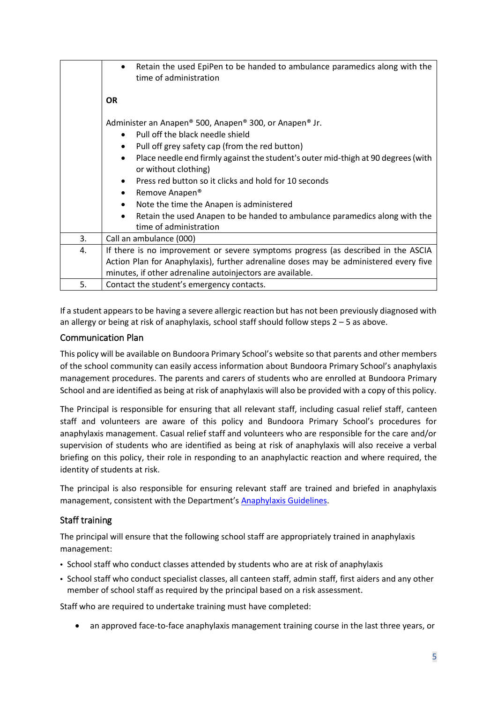|    | Retain the used EpiPen to be handed to ambulance paramedics along with the<br>٠<br>time of administration              |  |  |
|----|------------------------------------------------------------------------------------------------------------------------|--|--|
|    | <b>OR</b>                                                                                                              |  |  |
|    | Administer an Anapen® 500, Anapen® 300, or Anapen® Jr.                                                                 |  |  |
|    | Pull off the black needle shield<br>$\bullet$                                                                          |  |  |
|    | Pull off grey safety cap (from the red button)<br>٠                                                                    |  |  |
|    | Place needle end firmly against the student's outer mid-thigh at 90 degrees (with<br>$\bullet$<br>or without clothing) |  |  |
|    | Press red button so it clicks and hold for 10 seconds<br>$\bullet$                                                     |  |  |
|    | Remove Anapen <sup>®</sup><br>$\bullet$                                                                                |  |  |
|    | Note the time the Anapen is administered<br>$\bullet$                                                                  |  |  |
|    | Retain the used Anapen to be handed to ambulance paramedics along with the<br>$\bullet$<br>time of administration      |  |  |
| 3. | Call an ambulance (000)                                                                                                |  |  |
| 4. | If there is no improvement or severe symptoms progress (as described in the ASCIA                                      |  |  |
|    | Action Plan for Anaphylaxis), further adrenaline doses may be administered every five                                  |  |  |
|    | minutes, if other adrenaline autoinjectors are available.                                                              |  |  |
| 5. | Contact the student's emergency contacts.                                                                              |  |  |

If a student appears to be having a severe allergic reaction but has not been previously diagnosed with an allergy or being at risk of anaphylaxis, school staff should follow steps  $2 - 5$  as above.

#### Communication Plan

This policy will be available on Bundoora Primary School's website so that parents and other members of the school community can easily access information about Bundoora Primary School's anaphylaxis management procedures. The parents and carers of students who are enrolled at Bundoora Primary School and are identified as being at risk of anaphylaxis will also be provided with a copy of this policy.

The Principal is responsible for ensuring that all relevant staff, including casual relief staff, canteen staff and volunteers are aware of this policy and Bundoora Primary School's procedures for anaphylaxis management. Casual relief staff and volunteers who are responsible for the care and/or supervision of students who are identified as being at risk of anaphylaxis will also receive a verbal briefing on this policy, their role in responding to an anaphylactic reaction and where required, the identity of students at risk.

The principal is also responsible for ensuring relevant staff are trained and briefed in anaphylaxis management, consistent with the Department's [Anaphylaxis Guidelines.](https://www2.education.vic.gov.au/pal/anaphylaxis/guidance)

# Staff training

The principal will ensure that the following school staff are appropriately trained in anaphylaxis management:

- School staff who conduct classes attended by students who are at risk of anaphylaxis
- School staff who conduct specialist classes, all canteen staff, admin staff, first aiders and any other member of school staff as required by the principal based on a risk assessment.

Staff who are required to undertake training must have completed:

• an approved face-to-face anaphylaxis management training course in the last three years, or